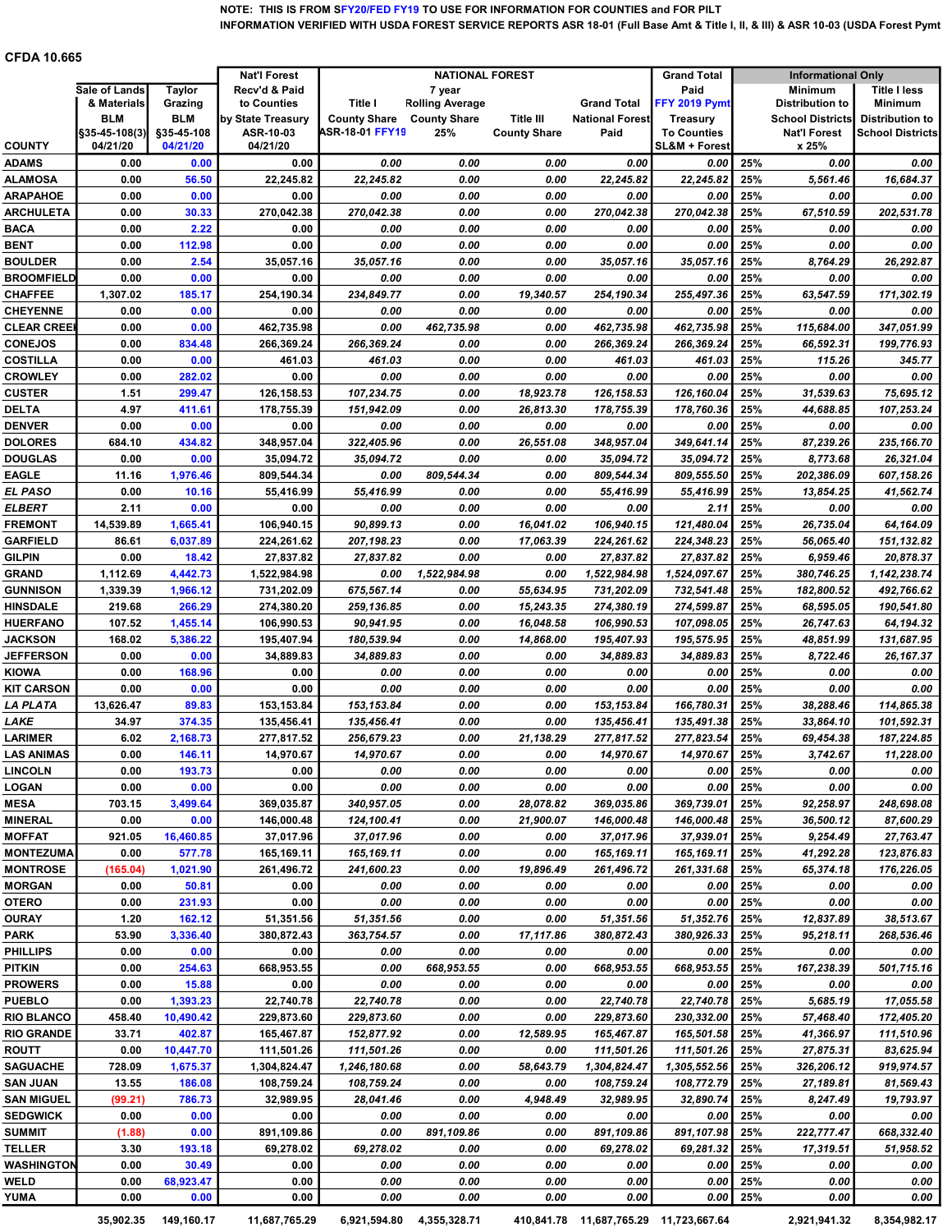## NOTE: THIS IS FROM SFY20/FED FY19 TO USE FOR INFORMATION FOR COUNTIES and FOR PILT INFORMATION VERIFIED WITH USDA FOREST SERVICE REPORTS ASR 18-01 (Full Base Amt & Title I, II, & III) & ASR 10-03 (USDA Forest Pymt Amt)

## CFDA 10.665

|                                  |                           |                        | <b>Nat'l Forest</b>   | <b>NATIONAL FOREST</b>                 |                        |                     | <b>Grand Total</b>                     | <b>Informational Only</b>           |            |                              |                         |
|----------------------------------|---------------------------|------------------------|-----------------------|----------------------------------------|------------------------|---------------------|----------------------------------------|-------------------------------------|------------|------------------------------|-------------------------|
|                                  | Sale of Lands             | <b>Taylor</b>          | Recv'd & Paid         |                                        | 7 year                 |                     |                                        | Paid                                |            | <b>Minimum</b>               | <b>Title I less</b>     |
|                                  | & Materials               | Grazing                | to Counties           | Title I                                | <b>Rolling Average</b> |                     | <b>Grand Total</b>                     | FFY 2019 Pymt                       |            | <b>Distribution to</b>       | <b>Minimum</b>          |
|                                  | <b>BLM</b>                | BLM                    | by State Treasury     | <b>County Share</b><br>ASR-18-01 FFY19 | <b>County Share</b>    | <b>Title III</b>    | <b>National Forest</b>                 | <b>Treasury</b>                     |            | <b>School Districts</b>      | <b>Distribution to</b>  |
| <b>COUNTY</b>                    | §35-45-108(3)<br>04/21/20 | §35-45-108<br>04/21/20 | ASR-10-03<br>04/21/20 |                                        | 25%                    | <b>County Share</b> | Paid                                   | <b>To Counties</b><br>SL&M + Forest |            | <b>Nat'l Forest</b><br>x 25% | <b>School Districts</b> |
| <b>ADAMS</b>                     | 0.00                      | 0.00                   | 0.00                  | 0.00                                   | 0.00                   | 0.00                | 0.00                                   | 0.00                                | 25%        | 0.00                         | 0.00                    |
| ALAMOSA                          | 0.00                      | 56.50                  | 22,245.82             | 22,245.82                              | 0.00                   | 0.00                | 22,245.82                              | 22,245.82                           | 25%        | 5,561.46                     | 16,684.37               |
| ARAPAHOE                         | 0.00                      | 0.00                   | 0.00                  | 0.00                                   | 0.00                   | 0.00                | 0.00                                   | 0.00                                | 25%        | 0.00                         | 0.00                    |
| <b>ARCHULETA</b>                 | 0.00                      | 30.33                  | 270,042.38            | 270,042.38                             | 0.00                   | 0.00                | 270,042.38                             | 270,042.38                          | 25%        | 67,510.59                    | 202,531.78              |
| BACA                             | 0.00                      | 2.22                   | 0.00                  | 0.00                                   | 0.00                   | 0.00                | 0.00                                   | 0.00                                | 25%        | 0.00                         | 0.00                    |
| BENT                             | 0.00                      | 112.98                 | 0.00                  | 0.00                                   | 0.00                   | 0.00                | 0.00                                   | 0.00                                | 25%        | 0.00                         | 0.00                    |
| <b>BOULDER</b>                   | 0.00                      | 2.54                   | 35,057.16             | 35,057.16                              | 0.00                   | 0.00                | 35,057.16                              | 35,057.16                           | 25%        | 8,764.29                     | 26.292.87               |
| <b>BROOMFIELD</b>                | 0.00                      | 0.00                   | 0.00                  | 0.00                                   | 0.00                   | 0.00                | 0.00                                   | 0.00                                | 25%        | 0.00                         | 0.00                    |
| CHAFFEE                          | 1,307.02                  | 185.17                 | 254,190.34            | 234,849.77                             | 0.00                   | 19,340.57           | 254,190.34                             | 255,497.36                          | 25%        | 63,547.59                    | 171,302.19              |
| <b>CHEYENNE</b>                  | 0.00                      | 0.00                   | 0.00                  | 0.00                                   | 0.00                   | 0.00                | 0.00                                   | 0.00                                | 25%        | 0.00                         | 0.00                    |
| CLEAR CREEI                      | 0.00                      | 0.00                   | 462,735.98            | 0.00                                   | 462,735.98             | 0.00                | 462,735.98                             | 462,735.98                          | 25%        | 115,684.00                   | 347,051.99              |
| <b>CONEJOS</b>                   | 0.00                      | 834.48                 | 266,369.24            | 266,369.24                             | 0.00                   | 0.00                | 266,369.24                             | 266,369.24                          | 25%        | 66,592.31                    | 199,776.93              |
| COSTILLA                         | 0.00                      | 0.00                   | 461.03                | 461.03                                 | 0.00                   | 0.00                | 461.03                                 | 461.03                              | 25%        | 115.26                       | 345.77                  |
| <b>CROWLEY</b>                   | 0.00                      | 282.02                 | 0.00                  | 0.00                                   | 0.00                   | 0.00                | 0.00                                   | 0.00                                | 25%        | 0.00                         | 0.00                    |
| <b>CUSTER</b>                    | 1.51                      | 299.47                 | 126.158.53            | 107,234.75                             | 0.00                   | 18,923.78           | 126,158.53                             | 126.160.04                          | 25%        | 31,539.63                    | 75,695.12               |
| <b>DELTA</b>                     | 4.97                      | 411.61                 | 178,755.39            | 151,942.09                             | 0.00                   | 26,813.30           | 178,755.39                             | 178,760.36                          | 25%        | 44,688.85                    | 107,253.24              |
| <b>DENVER</b>                    | 0.00                      | 0.00                   | 0.00                  | 0.00                                   | 0.00                   | 0.00                | 0.00                                   | 0.00                                | 25%        | 0.00                         | 0.00                    |
| <b>DOLORES</b>                   | 684.10                    | 434.82                 | 348,957.04            | 322,405.96                             | 0.00                   | 26,551.08           | 348,957.04                             | 349.641.14                          | 25%        | 87,239.26                    | 235.166.70              |
| <b>DOUGLAS</b>                   | 0.00                      | 0.00                   | 35,094.72             | 35,094.72                              | 0.00                   | 0.00                | 35,094.72                              | 35,094.72                           | 25%        | 8,773.68                     | 26,321.04               |
| <b>EAGLE</b><br>EL PASO          | 11.16<br>0.00             | 1,976.46               | 809,544.34            | 0.00                                   | 809,544.34             | 0.00<br>0.00        | 809,544.34                             | 809,555.50                          | 25%<br>25% | 202,386.09                   | 607,158.26              |
| ELBERT                           | 2.11                      | 10.16<br>0.00          | 55,416.99             | 55,416.99<br>0.00                      | 0.00<br>0.00           | 0.00                | 55,416.99                              | 55,416.99                           | 25%        | 13,854.25                    | 41,562.74<br>0.00       |
| <b>FREMONT</b>                   | 14,539.89                 | 1,665.41               | 0.00<br>106,940.15    | 90,899.13                              | 0.00                   | 16,041.02           | 0.00<br>106,940.15                     | 2.11<br>121,480.04                  | 25%        | 0.00<br>26,735.04            | 64,164.09               |
| <b>GARFIELD</b>                  | 86.61                     | 6,037.89               | 224,261.62            | 207,198.23                             | 0.00                   | 17,063.39           | 224,261.62                             | 224,348.23                          | 25%        | 56,065.40                    | 151,132.82              |
| GILPIN                           | 0.00                      | 18.42                  | 27,837.82             | 27,837.82                              | 0.00                   | 0.00                | 27,837.82                              | 27,837.82                           | 25%        | 6,959.46                     | 20,878.37               |
| GRAND                            | 1,112.69                  | 4,442.73               | 1,522,984.98          | 0.00                                   | 1,522,984.98           | 0.00                | 1,522,984.98                           | 1,524,097.67                        | 25%        | 380,746.25                   | 1,142,238.74            |
| <b>GUNNISON</b>                  | 1,339.39                  | 1,966.12               | 731,202.09            | 675,567.14                             | 0.00                   | 55,634.95           | 731,202.09                             | 732,541.48                          | 25%        | 182,800.52                   | 492,766.62              |
| <b>HINSDALE</b>                  | 219.68                    | 266.29                 | 274,380.20            | 259,136.85                             | 0.00                   | 15,243.35           | 274,380.19                             | 274,599.87                          | 25%        | 68,595.05                    | 190,541.80              |
| <b>HUERFANO</b>                  | 107.52                    | 1,455.14               | 106,990.53            | 90,941.95                              | 0.00                   | 16,048.58           | 106,990.53                             | 107,098.05                          | 25%        | 26,747.63                    | 64,194.32               |
| <b>JACKSON</b>                   | 168.02                    | 5,386.22               | 195,407.94            | 180,539.94                             | 0.00                   | 14,868.00           | 195,407.93                             | 195,575.95                          | 25%        | 48,851.99                    | 131,687.95              |
| <b>JEFFERSON</b>                 | 0.00                      | 0.00                   | 34,889.83             | 34,889.83                              | 0.00                   | 0.00                | 34,889.83                              | 34,889.83                           | 25%        | 8,722.46                     | 26,167.37               |
| KIOWA                            | 0.00                      | 168.96                 | 0.00                  | 0.00                                   | 0.00                   | 0.00                | 0.00                                   | 0.00                                | 25%        | 0.00                         | 0.00                    |
| <b>KIT CARSON</b>                | 0.00                      | 0.00                   | 0.00                  | 0.00                                   | 0.00                   | 0.00                | 0.00                                   | 0.00                                | 25%        | 0.00                         | 0.00                    |
| LA PLATA                         | 13,626.47                 | 89.83                  | 153,153.84            | 153,153.84                             | 0.00                   | 0.00                | 153,153.84                             | 166,780.31                          | 25%        | 38.288.46                    | 114,865.38              |
| LAKE                             | 34.97                     | 374.35                 | 135,456.41            | 135,456.41                             | 0.00                   | 0.00                | 135,456.41                             | 135,491.38                          | 25%        | 33,864.10                    | 101.592.31              |
| LARIMER                          | 6.02                      | 2,168.73               | 277,817.52            | 256,679.23                             | 0.00                   | 21,138.29           | 277,817.52                             | 277,823.54                          | 25%        | 69,454.38                    | 187,224.85              |
| LAS ANIMAS                       | 0.00                      | 146.11                 | 14,970.67             | 14,970.67                              | 0.00                   | 0.00                | 14,970.67                              | 14,970.67                           | 25%        | 3,742.67                     | 11,228.00               |
| <b>LINCOLN</b>                   | 0.00                      | 193.73                 | 0.00                  | 0.00                                   | 0.00                   | 0.00                | 0.00                                   | 0.00                                | 25%        | 0.00                         | 0.00                    |
| LOGAN                            | 0.00                      | 0.00                   | 0.00                  | 0.00                                   | 0.00                   | 0.00                | 0.00                                   | 0.00                                | 25%        | 0.00                         | 0.00                    |
| <b>MESA</b>                      | 703.15                    | 3,499.64               | 369.035.87            | 340,957.05                             | 0.00                   | 28,078.82           | 369,035.86                             | 369,739.01                          | 25%        | 92,258.97                    | 248.698.08              |
| MINERAL                          | 0.00                      | 0.00                   | 146,000.48            | 124,100.41                             | 0.00                   | 21,900.07           | 146,000.48                             | 146,000.48                          | 25%        | 36,500.12                    | 87,600.29               |
| <b>MOFFAT</b>                    | 921.05                    | 16,460.85              | 37,017.96             | 37,017.96                              | 0.00                   | 0.00                | 37,017.96                              | 37,939.01                           | 25%        | 9,254.49                     | 27,763.47               |
| <b>MONTEZUMA</b>                 | 0.00                      | 577.78                 | 165,169.11            | 165,169.11                             | 0.00                   | 0.00                | 165,169.11                             | 165,169.11                          | 25%        | 41,292.28                    | 123,876.83              |
| <b>MONTROSE</b><br><b>MORGAN</b> | (165.04)<br>0.00          | 1,021.90               | 261,496.72<br>0.00    | 241,600.23                             | 0.00<br>0.00           | 19,896.49<br>0.00   | 261,496.72<br>0.00                     | 261,331.68                          | 25%<br>25% | 65,374.18                    | 176,226.05              |
| OTERO                            | 0.00                      | 50.81<br>231.93        | 0.00                  | 0.00<br>0.00                           | 0.00                   | 0.00                | 0.00                                   | 0.00<br>0.00                        | 25%        | 0.00<br>0.00                 | 0.00<br>0.00            |
| OURAY                            | 1.20                      | 162.12                 | 51,351.56             | 51,351.56                              | 0.00                   | 0.00                | 51,351.56                              | 51,352.76                           | 25%        | 12,837.89                    | 38,513.67               |
| PARK                             | 53.90                     | 3,336.40               | 380,872.43            | 363,754.57                             | 0.00                   | 17,117.86           | 380,872.43                             | 380,926.33                          | 25%        | 95,218.11                    | 268,536.46              |
| PHILLIPS                         | 0.00                      | 0.00                   | 0.00                  | 0.00                                   | 0.00                   | 0.00                | 0.00                                   | 0.00                                | 25%        | 0.00                         | 0.00                    |
| PITKIN                           | 0.00                      | 254.63                 | 668,953.55            | 0.00                                   | 668,953.55             | 0.00                | 668,953.55                             | 668,953.55                          | 25%        | 167,238.39                   | 501,715.16              |
| <b>PROWERS</b>                   | 0.00                      | 15.88                  | 0.00                  | 0.00                                   | 0.00                   | 0.00                | 0.00                                   | 0.00                                | 25%        | 0.00                         | 0.00                    |
| <b>PUEBLO</b>                    | 0.00                      | 1,393.23               | 22,740.78             | 22,740.78                              | 0.00                   | 0.00                | 22,740.78                              | 22,740.78                           | 25%        | 5,685.19                     | 17,055.58               |
| <b>RIO BLANCO</b>                | 458.40                    | 10,490.42              | 229,873.60            | 229,873.60                             | 0.00                   | 0.00                | 229,873.60                             | 230,332.00                          | 25%        | 57,468.40                    | 172,405.20              |
| RIO GRANDE                       | 33.71                     | 402.87                 | 165,467.87            | 152,877.92                             | 0.00                   | 12,589.95           | 165,467.87                             | 165,501.58                          | 25%        | 41,366.97                    | 111,510.96              |
| ROUTT                            | 0.00                      | 10,447.70              | 111,501.26            | 111,501.26                             | 0.00                   | 0.00                | 111,501.26                             | 111,501.26                          | 25%        | 27,875.31                    | 83,625.94               |
| <b>SAGUACHE</b>                  | 728.09                    | 1,675.37               | 1,304,824.47          | 1,246,180.68                           | 0.00                   | 58,643.79           | 1,304,824.47                           | 1,305,552.56                        | 25%        | 326,206.12                   | 919,974.57              |
| SAN JUAN                         | 13.55                     | 186.08                 | 108,759.24            | 108,759.24                             | 0.00                   | 0.00                | 108,759.24                             | 108,772.79                          | 25%        | 27,189.81                    | 81,569.43               |
| SAN MIGUEL                       | (99.21)                   | 786.73                 | 32,989.95             | 28,041.46                              | 0.00                   | 4,948.49            | 32,989.95                              | 32,890.74                           | 25%        | 8,247.49                     | 19,793.97               |
| <b>SEDGWICK</b>                  | 0.00                      | 0.00                   | 0.00                  | 0.00                                   | 0.00                   | 0.00                | 0.00                                   | 0.00                                | 25%        | 0.00                         | 0.00                    |
| SUMMIT                           | (1.88)                    | 0.00                   | 891,109.86            | 0.00                                   | 891,109.86             | 0.00                | 891,109.86                             | 891,107.98                          | 25%        | 222,777.47                   | 668,332.40              |
| TELLER                           | 3.30                      | 193.18                 | 69,278.02             | 69,278.02                              | 0.00                   | 0.00                | 69,278.02                              | 69,281.32                           | 25%        | 17,319.51                    | 51,958.52               |
| WASHINGTON                       | 0.00                      | 30.49                  | 0.00                  | 0.00                                   | 0.00                   | 0.00                | 0.00                                   | 0.00                                | 25%        | 0.00                         | 0.00                    |
| WELD                             | 0.00                      | 68,923.47              | 0.00                  | 0.00                                   | 0.00                   | 0.00                | 0.00                                   | 0.00                                | 25%        | 0.00                         | 0.00                    |
| YUMA                             | 0.00                      | 0.00                   | 0.00                  | 0.00                                   | 0.00                   | 0.00                | 0.00                                   | 0.00                                | 25%        | 0.00                         | 0.00                    |
|                                  | 35,902.35                 | 149,160.17             | 11,687,765.29         | 6,921,594.80                           | 4,355,328.71           |                     | 410,841.78 11,687,765.29 11,723,667.64 |                                     |            | 2,921,941.32                 | 8,354,982.17            |